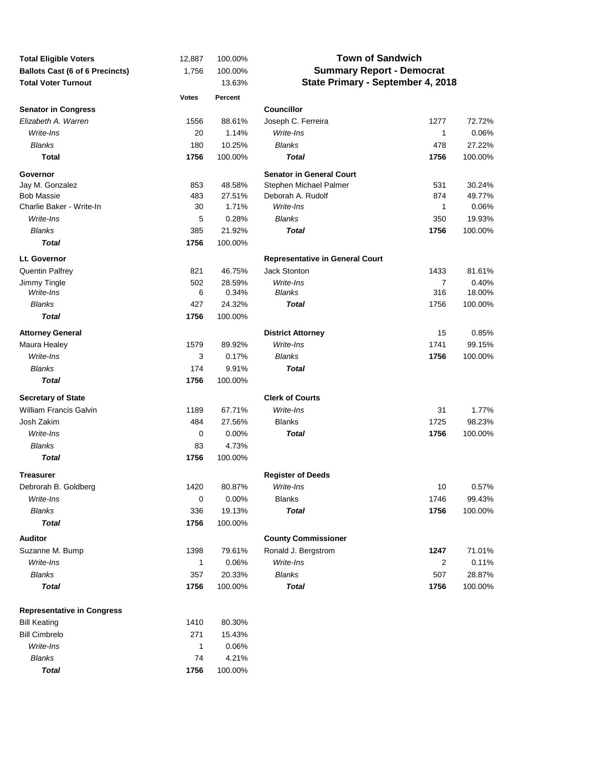| <b>Total Eligible Voters</b>           | 12,887       | 100.00% | <b>Town of Sandwich</b>                |                |         |  |  |
|----------------------------------------|--------------|---------|----------------------------------------|----------------|---------|--|--|
| <b>Ballots Cast (6 of 6 Precincts)</b> | 1,756        | 100.00% | <b>Summary Report - Democrat</b>       |                |         |  |  |
| <b>Total Voter Turnout</b>             |              | 13.63%  | State Primary - September 4, 2018      |                |         |  |  |
|                                        | <b>Votes</b> | Percent |                                        |                |         |  |  |
| <b>Senator in Congress</b>             |              |         | <b>Councillor</b>                      |                |         |  |  |
| Elizabeth A. Warren                    | 1556         | 88.61%  | Joseph C. Ferreira                     | 1277           | 72.72%  |  |  |
| Write-Ins                              | 20           | 1.14%   | Write-Ins                              | 1              | 0.06%   |  |  |
| <b>Blanks</b>                          | 180          | 10.25%  | <b>Blanks</b>                          | 478            | 27.22%  |  |  |
| <b>Total</b>                           | 1756         | 100.00% | <b>Total</b>                           | 1756           | 100.00% |  |  |
| Governor                               |              |         | <b>Senator in General Court</b>        |                |         |  |  |
| Jay M. Gonzalez                        | 853          | 48.58%  | Stephen Michael Palmer                 | 531            | 30.24%  |  |  |
| <b>Bob Massie</b>                      | 483          | 27.51%  | Deborah A. Rudolf                      | 874            | 49.77%  |  |  |
| Charlie Baker - Write-In               | 30           | 1.71%   | Write-Ins                              | 1              | 0.06%   |  |  |
| Write-Ins                              | 5            | 0.28%   | <b>Blanks</b>                          | 350            | 19.93%  |  |  |
| <b>Blanks</b>                          | 385          | 21.92%  | <b>Total</b>                           | 1756           | 100.00% |  |  |
| <b>Total</b>                           | 1756         | 100.00% |                                        |                |         |  |  |
| Lt. Governor                           |              |         | <b>Representative in General Court</b> |                |         |  |  |
| <b>Quentin Palfrey</b>                 | 821          | 46.75%  | <b>Jack Stonton</b>                    | 1433           | 81.61%  |  |  |
| Jimmy Tingle                           | 502          | 28.59%  | Write-Ins                              | $\overline{7}$ | 0.40%   |  |  |
| Write-Ins                              | 6            | 0.34%   | <b>Blanks</b>                          | 316            | 18.00%  |  |  |
| <b>Blanks</b>                          | 427          | 24.32%  | <b>Total</b>                           | 1756           | 100.00% |  |  |
| <b>Total</b>                           | 1756         | 100.00% |                                        |                |         |  |  |
| <b>Attorney General</b>                |              |         | <b>District Attorney</b>               | 15             | 0.85%   |  |  |
| Maura Healey                           | 1579         | 89.92%  | Write-Ins                              | 1741           | 99.15%  |  |  |
| Write-Ins                              | 3            | 0.17%   | <b>Blanks</b>                          | 1756           | 100.00% |  |  |
| <b>Blanks</b>                          | 174          | 9.91%   | <b>Total</b>                           |                |         |  |  |
| <b>Total</b>                           | 1756         | 100.00% |                                        |                |         |  |  |
| <b>Secretary of State</b>              |              |         | <b>Clerk of Courts</b>                 |                |         |  |  |
| William Francis Galvin                 | 1189         | 67.71%  | Write-Ins                              | 31             | 1.77%   |  |  |
| Josh Zakim                             | 484          | 27.56%  | <b>Blanks</b>                          | 1725           | 98.23%  |  |  |
| Write-Ins                              | 0            | 0.00%   | <b>Total</b>                           | 1756           | 100.00% |  |  |
| <b>Blanks</b>                          | 83           | 4.73%   |                                        |                |         |  |  |
| <b>Total</b>                           | 1756         | 100.00% |                                        |                |         |  |  |
| <b>Treasurer</b>                       |              |         | <b>Register of Deeds</b>               |                |         |  |  |
| Debrorah B. Goldberg                   | 1420         | 80.87%  | Write-Ins                              | 10             | 0.57%   |  |  |
| Write-Ins                              | 0            | 0.00%   | <b>Blanks</b>                          | 1746           | 99.43%  |  |  |
| <b>Blanks</b>                          | 336          | 19.13%  | <b>Total</b>                           | 1756           | 100.00% |  |  |
| <b>Total</b>                           | 1756         | 100.00% |                                        |                |         |  |  |
| <b>Auditor</b>                         |              |         | <b>County Commissioner</b>             |                |         |  |  |
| Suzanne M. Bump                        | 1398         | 79.61%  | Ronald J. Bergstrom                    | 1247           | 71.01%  |  |  |
| Write-Ins                              | 1            | 0.06%   | Write-Ins                              | 2              | 0.11%   |  |  |
| <b>Blanks</b>                          | 357          | 20.33%  | Blanks                                 | 507            | 28.87%  |  |  |
| <b>Total</b>                           | 1756         | 100.00% | <b>Total</b>                           | 1756           | 100.00% |  |  |
| <b>Representative in Congress</b>      |              |         |                                        |                |         |  |  |
| <b>Bill Keating</b>                    | 1410         | 80.30%  |                                        |                |         |  |  |
| <b>Bill Cimbrelo</b>                   | 271          | 15.43%  |                                        |                |         |  |  |
| Write-Ins                              | 1            | 0.06%   |                                        |                |         |  |  |
| <b>Blanks</b>                          | 74           | 4.21%   |                                        |                |         |  |  |
| <b>Total</b>                           | 1756         | 100.00% |                                        |                |         |  |  |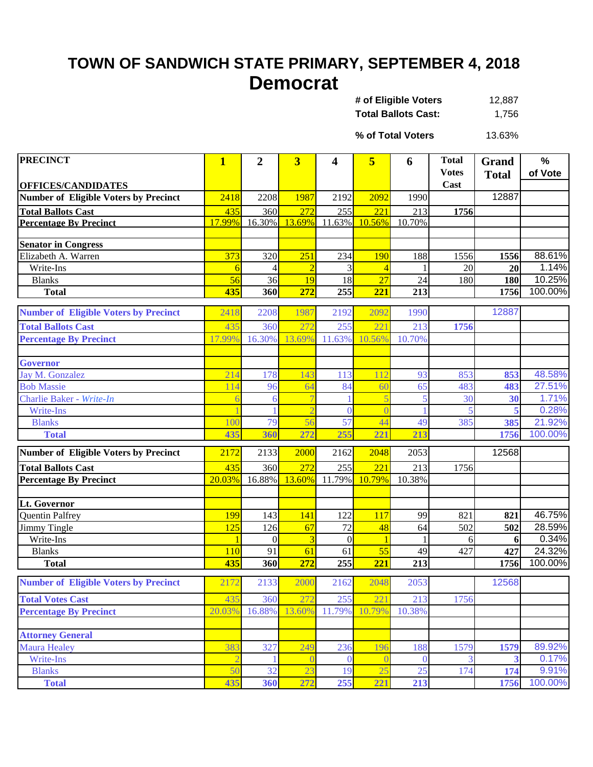## **TOWN OF SANDWICH STATE PRIMARY, SEPTEMBER 4, 2018 Democrat**

| # of Eligible Voters       | 12.887 |
|----------------------------|--------|
| <b>Total Ballots Cast:</b> | 1,756  |

13.63% **% of Total Voters**

| <b>PRECINCT</b>                              | $\mathbf{1}$  | $\boldsymbol{2}$ | $\overline{\mathbf{3}}$ | 4            | 5      | 6            | <b>Total</b>         | Grand        | $\frac{0}{0}$ |
|----------------------------------------------|---------------|------------------|-------------------------|--------------|--------|--------------|----------------------|--------------|---------------|
|                                              |               |                  |                         |              |        |              | <b>Votes</b><br>Cast | <b>Total</b> | of Vote       |
| <b>OFFICES/CANDIDATES</b>                    | 2418          |                  | 1987                    | 2192         | 2092   | 1990         |                      | 12887        |               |
| <b>Number of Eligible Voters by Precinct</b> |               | 2208             |                         |              |        |              |                      |              |               |
| <b>Total Ballots Cast</b>                    | 435<br>17.99% | 360<br>16.30%    | 272<br>13.69%           | 255          | 221    | 213          | 1756                 |              |               |
| <b>Percentage By Precinct</b>                |               |                  |                         | 11.63%       | 10.56% | 10.70%       |                      |              |               |
| <b>Senator in Congress</b>                   |               |                  |                         |              |        |              |                      |              |               |
| Elizabeth A. Warren                          | 373           | 320              | 251                     | 234          | 190    | 188          | 1556                 | 1556         | 88.61%        |
| Write-Ins                                    | 6             |                  |                         |              |        |              | 20                   | 20           | 1.14%         |
| <b>Blanks</b>                                | 56            | 36               | 19                      | 18           | 27     | 24           | 180                  | 180          | 10.25%        |
| <b>Total</b>                                 | 435           | 360              | 272                     | 255          | 221    | 213          |                      | 1756         | 100.00%       |
| <b>Number of Eligible Voters by Precinct</b> | 2418          | 2208             | 1987                    | 2192         | 2092   | 1990         |                      | 12887        |               |
| <b>Total Ballots Cast</b>                    | 435           | 360              | 272                     | 255          | 221    | 213          | 1756                 |              |               |
| <b>Percentage By Precinct</b>                | 17.99%        | 16.30%           | 13.69%                  | 11.63%       | 10.56% | 10.70%       |                      |              |               |
| <b>Governor</b>                              |               |                  |                         |              |        |              |                      |              |               |
| Jay M. Gonzalez                              | 214           | 178              | 143                     | 113          | 112    | 93           | 853                  | 853          | 48.58%        |
| <b>Bob Massie</b>                            | 114           | 96               | 64                      | 84           | 60     | 65           | 483                  | 483          | 27.51%        |
| Charlie Baker - Write-In                     |               | 6                |                         |              |        | 5            | 30                   | 30           | 1.71%         |
| <b>Write-Ins</b>                             |               |                  |                         | $\theta$     |        |              | 5                    | 5            | 0.28%         |
| <b>Blanks</b>                                | 100           | 79               | 56                      | 57           | 44     | 49           | 385                  | 385          | 21.92%        |
| <b>Total</b>                                 | 435           | 360              | 272                     | 255          | 221    | 213          |                      | 1756         | 100.00%       |
| <b>Number of Eligible Voters by Precinct</b> | 2172          | 2133             | 2000                    | 2162         | 2048   | 2053         |                      | 12568        |               |
| <b>Total Ballots Cast</b>                    | 435           | 360              | 272                     | 255          | 221    | 213          | 1756                 |              |               |
| <b>Percentage By Precinct</b>                | 20.03%        | 16.88%           | 13.60%                  | 11.79%       | 10.79% | 10.38%       |                      |              |               |
|                                              |               |                  |                         |              |        |              |                      |              |               |
| Lt. Governor                                 |               |                  |                         |              |        |              |                      |              |               |
| <b>Quentin Palfrey</b>                       | 199           | 143              | 141                     | 122          | 117    | 99           | 821                  | 821          | 46.75%        |
| Jimmy Tingle                                 | 125           | 126              | 67                      | 72           | 48     | 64           | 502                  | 502          | 28.59%        |
| Write-Ins                                    |               | $\Omega$         |                         | $\mathbf{0}$ |        |              | 6                    | 6            | 0.34%         |
| <b>Blanks</b>                                | 110           | 91               | 61                      | 61           | 55     | 49           | 427                  | 427          | 24.32%        |
| <b>Total</b>                                 | 435           | 360              | 272                     | 255          | 221    | 213          |                      | 1756         | 100.00%       |
| <b>Number of Eligible Voters by Precinct</b> | 2172          | 2133             | 2000                    | 2162         | 2048   | 2053         |                      | 12568        |               |
| <b>Total Votes Cast</b>                      | 435           | 360              | 272                     | 255          | 221    | 213          | 1756                 |              |               |
| <b>Percentage By Precinct</b>                | 20.03%        | 16.88%           | 13.60%                  | 11.79%       | 10.79% | 10.38%       |                      |              |               |
|                                              |               |                  |                         |              |        |              |                      |              |               |
| <b>Attorney General</b>                      |               |                  |                         |              |        |              |                      |              |               |
| <b>Maura Healey</b>                          | 383           | 327              | 249                     | 236          | 196    | 188          | 1579                 | 1579         | 89.92%        |
| Write-Ins                                    |               |                  |                         | $\mathbf{0}$ |        | $\mathbf{0}$ | 3                    | 3            | 0.17%         |
| <b>Blanks</b>                                | 50            | 32               | 23                      | 19           | 25     | 25           | 174                  | 174          | 9.91%         |
| <b>Total</b>                                 | 435           | 360              | 272                     | 255          | 221    | 213          |                      | 1756         | 100.00%       |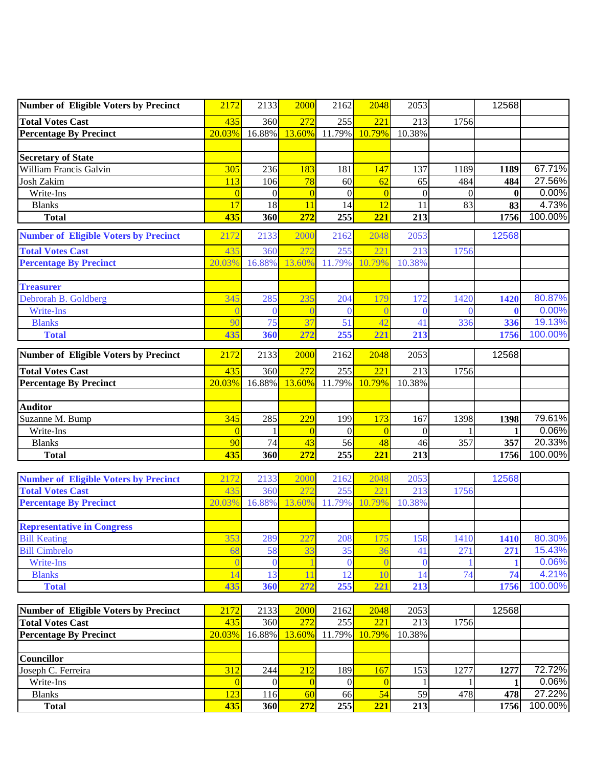| Number of Eligible Voters by Precinct        | 2172            | 2133           | <b>2000</b>    | 2162             | 2048     | 2053           |          | 12568        |         |
|----------------------------------------------|-----------------|----------------|----------------|------------------|----------|----------------|----------|--------------|---------|
| <b>Total Votes Cast</b>                      | 435             | 360            | 272            | 255              | 221      | 213            | 1756     |              |         |
| <b>Percentage By Precinct</b>                | 20.03%          | 16.88%         | 13.60%         | 11.79%           | 10.79%   | 10.38%         |          |              |         |
|                                              |                 |                |                |                  |          |                |          |              |         |
| <b>Secretary of State</b>                    |                 |                |                |                  |          |                |          |              |         |
| William Francis Galvin                       | 305             | 236            | 183            | 181              | 147      | 137            | 1189     | 1189         | 67.71%  |
| <b>Josh Zakim</b>                            | 113             | 106            | 78             | 60               | 62       | 65             | 484      | 484          | 27.56%  |
| Write-Ins                                    | $\overline{0}$  | $\Omega$       | $\overline{0}$ | $\boldsymbol{0}$ | $\Omega$ | $\overline{0}$ | $\theta$ | $\mathbf{0}$ | 0.00%   |
| <b>Blanks</b>                                | 17              | 18             | 11             | 14               | 12       | 11             | 83       | 83           | 4.73%   |
| <b>Total</b>                                 | 435             | 360            | 272            | 255              | 221      | 213            |          | 1756         | 100.00% |
| <b>Number of Eligible Voters by Precinct</b> | 2172            | 2133           | 2000           | 2162             | 2048     | 2053           |          | 12568        |         |
| <b>Total Votes Cast</b>                      | 435             | 360            | 272            | 255              | 221      | 213            | 1756     |              |         |
| <b>Percentage By Precinct</b>                | 20.03%          | 16.88%         | 13.60%         | 11.79%           | 10.79%   | 10.38%         |          |              |         |
|                                              |                 |                |                |                  |          |                |          |              |         |
| <b>Treasurer</b><br>Debrorah B. Goldberg     | 345             | 285            | 235            | 204              | 179      | 172            | 1420     |              | 80.87%  |
| <b>Write-Ins</b>                             |                 | $\theta$       |                | $\Omega$         |          | $\Omega$       | $\Omega$ | 1420<br>0    | 0.00%   |
| <b>Blanks</b>                                | 90              | 75             | 37             | 51               | 42       | 41             | 336      |              | 19.13%  |
| <b>Total</b>                                 | 435             | 360            | 272            | 255              | 221      | 213            |          | 336<br>1756  | 100.00% |
|                                              |                 |                |                |                  |          |                |          |              |         |
| <b>Number of Eligible Voters by Precinct</b> | 2172            | 2133           | 2000           | 2162             | 2048     | 2053           |          | 12568        |         |
| <b>Total Votes Cast</b>                      | 435             | 360            | 272            | 255              | 221      | 213            | 1756     |              |         |
| <b>Percentage By Precinct</b>                | 20.03%          | 16.88%         | 13.60%         | 11.79%           | 10.79%   | 10.38%         |          |              |         |
|                                              |                 |                |                |                  |          |                |          |              |         |
| <b>Auditor</b>                               |                 |                |                |                  |          |                |          |              |         |
| Suzanne M. Bump                              | 345             | 285            | 229            | 199              | 173      | 167            | 1398     | 1398         | 79.61%  |
| Write-Ins                                    | $\overline{0}$  |                | $\Omega$       | $\theta$         | $\Omega$ | $\theta$       |          | 1            | 0.06%   |
| <b>Blanks</b>                                | 90              | 74             | 43             | 56               | 48       | 46             | 357      | 357          | 20.33%  |
| <b>Total</b>                                 | 435             | 360            | 272            | 255              | 221      | 213            |          | 1756         | 100.00% |
| <b>Number of Eligible Voters by Precinct</b> | 2172            | 2133           | 2000           | 2162             | 2048     | 2053           |          | 12568        |         |
| <b>Total Votes Cast</b>                      | 435             | 360            | 272            | 255              | 221      | 213            | 1756     |              |         |
| <b>Percentage By Precinct</b>                | 20.03%          | 16.88%         | 13.60%         | 11.79%           | 10.79%   | 10.38%         |          |              |         |
|                                              |                 |                |                |                  |          |                |          |              |         |
| <b>Representative in Congress</b>            |                 |                |                |                  |          |                |          |              |         |
| <b>Bill Keating</b>                          | 353             | 289            | 227            | 208              | 175      | 158            | 1410     | 1410         | 80.30%  |
| <b>Bill Cimbrelo</b>                         | 68              | 58             | 33             | 35               | 36       | 41             | 271      | 271          | 15.43%  |
| Write-Ins                                    |                 | $\bf{0}$       |                | $\overline{0}$   |          | $\theta$       |          |              | 0.06%   |
| <b>Blanks</b>                                | 14              | 13             | 11             | 12               | 10       | 14             | 74       | 74           | 4.21%   |
| <b>Total</b>                                 | 435             | 360            | 272            | 255              | 221      | 213            |          | 1756         | 100.00% |
| <b>Number of Eligible Voters by Precinct</b> | 2172            | 2133           | 2000           | 2162             | 2048     | 2053           |          | 12568        |         |
| <b>Total Votes Cast</b>                      | 435             | 360            | 272            | 255              | 221      | 213            | 1756     |              |         |
| <b>Percentage By Precinct</b>                | 20.03%          | 16.88%         | 13.60%         | 11.79%           | 10.79%   | 10.38%         |          |              |         |
|                                              |                 |                |                |                  |          |                |          |              |         |
| Councillor                                   |                 |                |                |                  |          |                |          |              |         |
| Joseph C. Ferreira                           | 312             | 244            | 212            | 189              | 167      | 153            | 1277     | 1277         | 72.72%  |
| Write-Ins                                    | $\vert 0 \vert$ | $\overline{0}$ | $\overline{0}$ | $\overline{0}$   | $\Omega$ |                |          | 1            | 0.06%   |
| <b>Blanks</b>                                | 123             | 116            | 60             | 66               | 54       | 59             | 478      | 478          | 27.22%  |
| <b>Total</b>                                 | 435             | 360            | 272            | 255              | 221      | 213            |          | 1756         | 100.00% |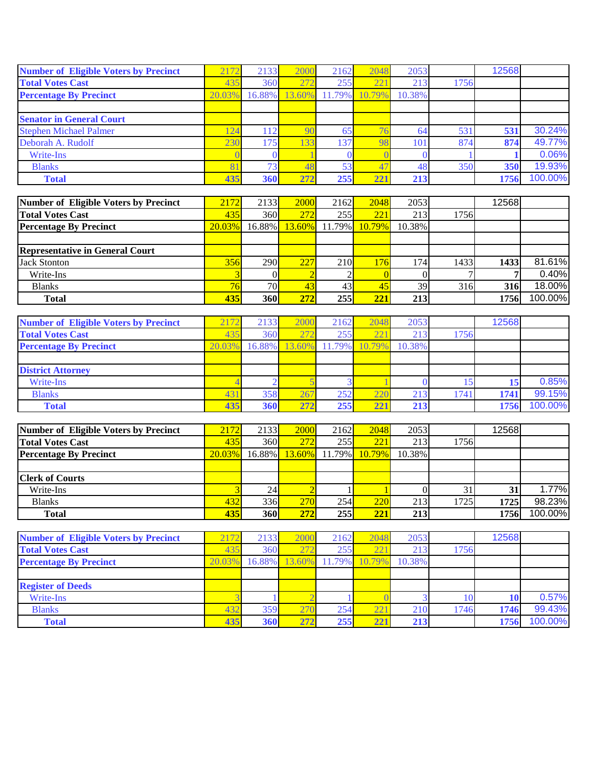| <b>Number of Eligible Voters by Precinct</b> | 2172   | 2133      | 2000 | 2162             | 2048   | 2053   |      | 12568 |         |
|----------------------------------------------|--------|-----------|------|------------------|--------|--------|------|-------|---------|
| <b>Total Votes Cast</b>                      | 435    | 360       | 272  | 255              | 221    | 213    | 1756 |       |         |
| <b>Percentage By Precinct</b>                | 20.03% | $16.88\%$ |      | 13.60% 11.79%    | 10.79% | 10.38% |      |       |         |
|                                              |        |           |      |                  |        |        |      |       |         |
| <b>Senator in General Court</b>              |        |           |      |                  |        |        |      |       |         |
| <b>Stephen Michael Palmer</b>                | 124    | 112       |      | 65               | 76     | 64     | 531  | 531   | 30.24%  |
| Deborah A. Rudolf                            | 230    | 175       | 33   | 137 <sub>1</sub> | 98     | 101    | 874  | 874   | 49.77%  |
| Write-Ins                                    |        |           |      |                  |        |        |      |       | 0.06%   |
| <b>Blanks</b>                                |        | 73.       | 47   | 53               | 47     | 48     | 350  | 350   | 19.93%  |
| <b>Total</b>                                 | 435    | 360       | 272  | 255              | 221    | 213    |      | 1756  | 100.00% |

| Number of Eligible Voters by Precinct  | 2172   | 2133             | 2000                        | 2162 | 2048         | 2053   |      | 12568 |         |
|----------------------------------------|--------|------------------|-----------------------------|------|--------------|--------|------|-------|---------|
| <b>Total Votes Cast</b>                | 435    | 360 <sub>l</sub> | 272                         | 255  | 221          | 213    | 1756 |       |         |
| <b>Percentage By Precinct</b>          | 20.03% |                  | 16.88% 13.60% 11.79% 10.79% |      |              | 10.38% |      |       |         |
|                                        |        |                  |                             |      |              |        |      |       |         |
| <b>Representative in General Court</b> |        |                  |                             |      |              |        |      |       |         |
| <b>Jack Stonton</b>                    | 356    | <b>290</b>       | 227                         | 210  | 76           | 1741   | 1433 | 1433  | 81.61%  |
| Write-Ins                              |        |                  |                             |      |              |        |      |       | 0.40%   |
| <b>Blanks</b>                          |        | 70               |                             | 43   | $45^{\circ}$ | 39     | 316  | 316   | 18.00%  |
| <b>Total</b>                           | 435    | 360              | 272                         | 255  | 221          | 213    |      | 1756  | 100.00% |

| <b>Number of Eligible Voters by Precinct</b> | 2172   | 2133 | 2000                        | 2162 | 2048 | 2053   |      | 12568 |         |
|----------------------------------------------|--------|------|-----------------------------|------|------|--------|------|-------|---------|
| <b>Total Votes Cast</b>                      | 435    | 360  | 272                         | 255  | 221  | 213    | 1756 |       |         |
| <b>Percentage By Precinct</b>                | 20.03% |      | 16.88% 13.60% 11.79% 10.79% |      |      | 10.38% |      |       |         |
|                                              |        |      |                             |      |      |        |      |       |         |
| <b>District Attorney</b>                     |        |      |                             |      |      |        |      |       |         |
| Write-Ins                                    |        |      |                             |      |      |        |      |       | 0.85%   |
| <b>Blanks</b>                                | 43     | 358  | 26                          | 252  | 220  | 213    | 1741 | 1741  | 99.15%  |
| <b>Total</b>                                 | 435    | 360  | 272                         | 255  | 221  | 213    |      | 1756  | 100.00% |

| <b>Number of Eligible Voters by Precinct</b> | 2172   | 2133 <sup> </sup> | 2000       | 2162          | 2048       | 2053   |      | 12568 |         |
|----------------------------------------------|--------|-------------------|------------|---------------|------------|--------|------|-------|---------|
| <b>Total Votes Cast</b>                      | 435    | 360               | 272        | 255           | 221        | 213    | 1756 |       |         |
| <b>Percentage By Precinct</b>                | 20.03% | $16.88\%$         | $13.60\%$  | 11.79% 10.79% |            | 10.38% |      |       |         |
|                                              |        |                   |            |               |            |        |      |       |         |
| <b>Clerk of Courts</b>                       |        |                   |            |               |            |        |      |       |         |
| Write-Ins                                    |        | 24 <sub>l</sub>   |            |               |            |        | 31   |       | 1.77%   |
| <b>Blanks</b>                                | 432    | 336               | <b>270</b> | 254           | <b>220</b> | 213    | 1725 | 1725  | 98.23%  |
| <b>Total</b>                                 | 435    | 360               | 272        | 255           | 221        | 213    |      | 1756  | 100.00% |

| <b>Number of Eligible Voters by Precinct</b> | 2172   | 2133   | 2000            | 2162                 | 2048 | 2053       |      | 12568 |         |
|----------------------------------------------|--------|--------|-----------------|----------------------|------|------------|------|-------|---------|
| <b>Total Votes Cast</b>                      | 435    | 360    | 272             | 255                  | 221  | 213        | 1756 |       |         |
| <b>Percentage By Precinct</b>                | 20.03% | 16.88% |                 | 13.60% 11.79% 10.79% |      | 10.38%     |      |       |         |
|                                              |        |        |                 |                      |      |            |      |       |         |
| <b>Register of Deeds</b>                     |        |        |                 |                      |      |            |      |       |         |
| Write-Ins                                    |        |        |                 |                      |      |            |      |       | 0.57%   |
| <b>Blanks</b>                                | 432    | 359    | 27 <sub>C</sub> | 254                  | 221  | <b>210</b> | 1746 | 1746  | 99.43%  |
| <b>Total</b>                                 | 435    | 360    | 272             | 255                  | 221  | 213        |      | 1756  | 100.00% |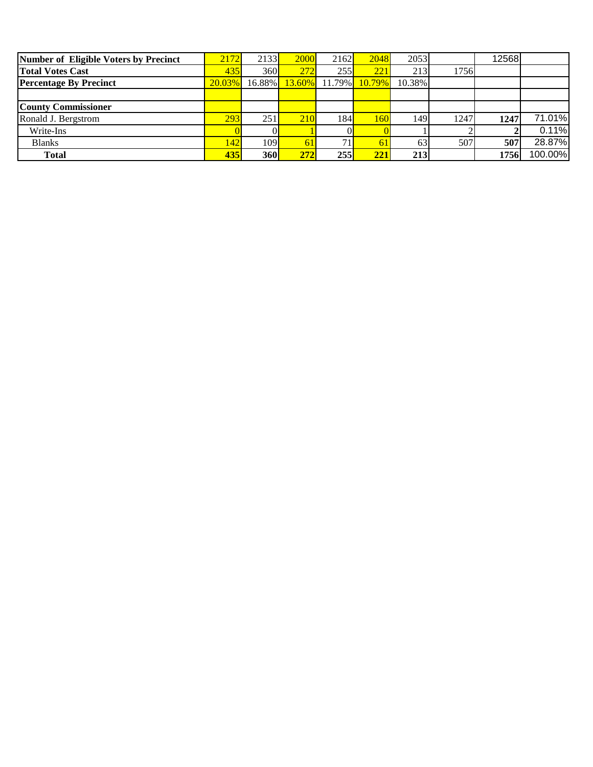| Number of Eligible Voters by Precinct | 2172   | 2133 <sup> </sup> | 2000       | 2162             | 2048   | 2053   |      | 12568 |         |
|---------------------------------------|--------|-------------------|------------|------------------|--------|--------|------|-------|---------|
| <b>Total Votes Cast</b>               | 435    | 360 <sub>l</sub>  | 272        | 255              | 221    | 213    | 1756 |       |         |
| <b>Percentage By Precinct</b>         | 20.03% | $16.88\%$         |            | $13.60\%$ 11.79% | 10.79% | 10.38% |      |       |         |
|                                       |        |                   |            |                  |        |        |      |       |         |
| <b>County Commissioner</b>            |        |                   |            |                  |        |        |      |       |         |
| Ronald J. Bergstrom                   | 293    | 251               | <b>210</b> | 184              | 160    | 149    | 1247 | 1247  | 71.01%  |
| Write-Ins                             |        |                   |            |                  |        |        |      |       | 0.11%   |
| <b>Blanks</b>                         | (42)   | 109               | 61         | 71               | 61     | 63     | 507  | 507   | 28.87%  |
| <b>Total</b>                          | 435    | 360               | 272        | 255              | 221    | 213    |      | 1756  | 100.00% |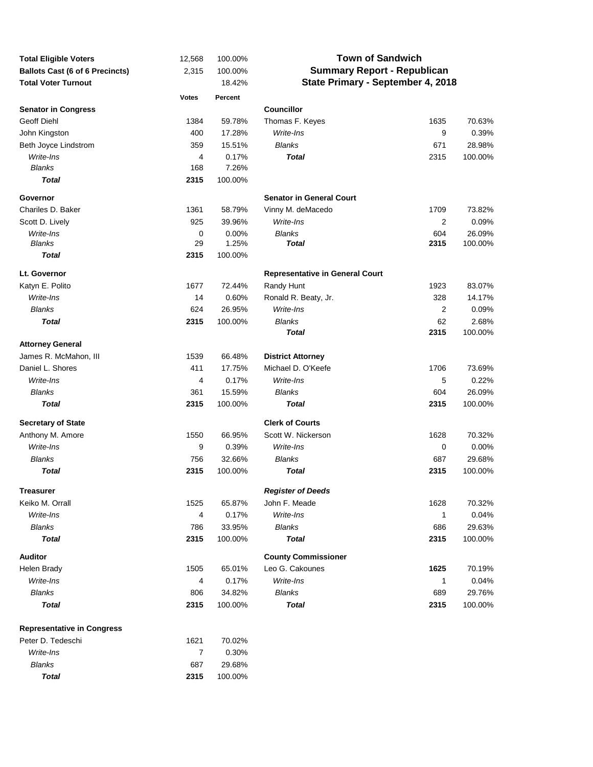| <b>Total Eligible Voters</b>           | 12,568       | 100.00% | <b>Town of Sandwich</b>                |      |         |  |  |  |  |
|----------------------------------------|--------------|---------|----------------------------------------|------|---------|--|--|--|--|
| <b>Ballots Cast (6 of 6 Precincts)</b> | 2,315        | 100.00% | <b>Summary Report - Republican</b>     |      |         |  |  |  |  |
| <b>Total Voter Turnout</b>             |              | 18.42%  | State Primary - September 4, 2018      |      |         |  |  |  |  |
|                                        | <b>Votes</b> | Percent |                                        |      |         |  |  |  |  |
| <b>Senator in Congress</b>             |              |         | <b>Councillor</b>                      |      |         |  |  |  |  |
| Geoff Diehl                            | 1384         | 59.78%  | Thomas F. Keyes                        | 1635 | 70.63%  |  |  |  |  |
| John Kingston                          | 400          | 17.28%  | Write-Ins                              | 9    | 0.39%   |  |  |  |  |
| Beth Joyce Lindstrom                   | 359          | 15.51%  | <b>Blanks</b>                          | 671  | 28.98%  |  |  |  |  |
| Write-Ins                              | 4            | 0.17%   | Total                                  | 2315 | 100.00% |  |  |  |  |
| <b>Blanks</b>                          | 168          | 7.26%   |                                        |      |         |  |  |  |  |
| <b>Total</b>                           | 2315         | 100.00% |                                        |      |         |  |  |  |  |
| Governor                               |              |         | <b>Senator in General Court</b>        |      |         |  |  |  |  |
| Chariles D. Baker                      | 1361         | 58.79%  | Vinny M. deMacedo                      | 1709 | 73.82%  |  |  |  |  |
| Scott D. Lively                        | 925          | 39.96%  | Write-Ins                              | 2    | 0.09%   |  |  |  |  |
| Write-Ins                              | 0            | 0.00%   | <b>Blanks</b>                          | 604  | 26.09%  |  |  |  |  |
| <b>Blanks</b>                          | 29           | 1.25%   | <b>Total</b>                           | 2315 | 100.00% |  |  |  |  |
| <b>Total</b>                           | 2315         | 100.00% |                                        |      |         |  |  |  |  |
| Lt. Governor                           |              |         | <b>Representative in General Court</b> |      |         |  |  |  |  |
| Katyn E. Polito                        | 1677         | 72.44%  | Randy Hunt                             | 1923 | 83.07%  |  |  |  |  |
| Write-Ins                              | 14           | 0.60%   | Ronald R. Beaty, Jr.                   | 328  | 14.17%  |  |  |  |  |
| <b>Blanks</b>                          | 624          | 26.95%  | Write-Ins                              | 2    | 0.09%   |  |  |  |  |
| <b>Total</b>                           | 2315         | 100.00% | Blanks                                 | 62   | 2.68%   |  |  |  |  |
|                                        |              |         | Total                                  | 2315 | 100.00% |  |  |  |  |
| <b>Attorney General</b>                |              |         |                                        |      |         |  |  |  |  |
| James R. McMahon, III                  | 1539         | 66.48%  | <b>District Attorney</b>               |      |         |  |  |  |  |
| Daniel L. Shores                       | 411          | 17.75%  | Michael D. O'Keefe                     | 1706 | 73.69%  |  |  |  |  |
| Write-Ins                              | 4            | 0.17%   | Write-Ins                              | 5    | 0.22%   |  |  |  |  |
| <b>Blanks</b>                          | 361          | 15.59%  | Blanks                                 | 604  | 26.09%  |  |  |  |  |
| <b>Total</b>                           | 2315         | 100.00% | Total                                  | 2315 | 100.00% |  |  |  |  |
| <b>Secretary of State</b>              |              |         | <b>Clerk of Courts</b>                 |      |         |  |  |  |  |
| Anthony M. Amore                       | 1550         | 66.95%  | Scott W. Nickerson                     | 1628 | 70.32%  |  |  |  |  |
| Write-Ins                              | 9            | 0.39%   | Write-Ins                              | 0    | 0.00%   |  |  |  |  |
| <b>Blanks</b>                          | 756          | 32.66%  | <b>Blanks</b>                          | 687  | 29.68%  |  |  |  |  |
| <b>Total</b>                           | 2315         | 100.00% | Total                                  | 2315 | 100.00% |  |  |  |  |
| Treasurer                              |              |         | <b>Register of Deeds</b>               |      |         |  |  |  |  |
| Keiko M. Orrall                        | 1525         | 65.87%  | John F. Meade                          | 1628 | 70.32%  |  |  |  |  |
| Write-Ins                              | 4            | 0.17%   | Write-Ins                              | 1    | 0.04%   |  |  |  |  |
| <b>Blanks</b>                          | 786          | 33.95%  | <b>Blanks</b>                          | 686  | 29.63%  |  |  |  |  |
| <b>Total</b>                           | 2315         | 100.00% | Total                                  | 2315 | 100.00% |  |  |  |  |
| <b>Auditor</b>                         |              |         | <b>County Commissioner</b>             |      |         |  |  |  |  |
| Helen Brady                            | 1505         | 65.01%  | Leo G. Cakounes                        | 1625 | 70.19%  |  |  |  |  |
| Write-Ins                              | 4            | 0.17%   | Write-Ins                              | 1    | 0.04%   |  |  |  |  |
| <b>Blanks</b>                          | 806          | 34.82%  | Blanks                                 | 689  | 29.76%  |  |  |  |  |
| <b>Total</b>                           | 2315         | 100.00% | Total                                  | 2315 | 100.00% |  |  |  |  |
| <b>Representative in Congress</b>      |              |         |                                        |      |         |  |  |  |  |
| Peter D. Tedeschi                      | 1621         | 70.02%  |                                        |      |         |  |  |  |  |
| Write-Ins                              | 7            | 0.30%   |                                        |      |         |  |  |  |  |
| Blanks                                 | 687          | 29.68%  |                                        |      |         |  |  |  |  |

 *Total* **2315** 100.00%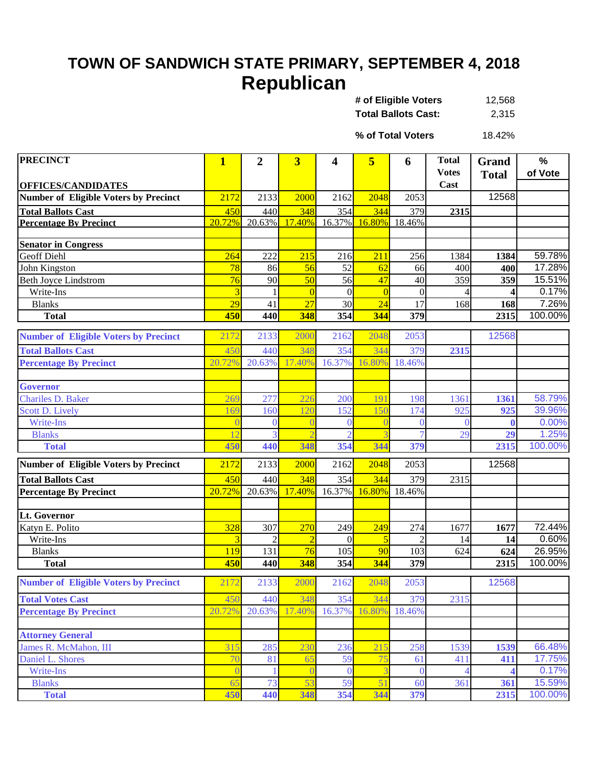## **TOWN OF SANDWICH STATE PRIMARY, SEPTEMBER 4, 2018 Republican**

| # of Eligible Voters       | 12,568 |
|----------------------------|--------|
| <b>Total Ballots Cast:</b> | 2,315  |

18.42% **% of Total Voters**

| <b>PRECINCT</b>                              | $\mathbf{1}$    | 2        | $\overline{\mathbf{3}}$ | 4                | 5              | 6            | <b>Total</b> | <b>Grand</b> | %              |
|----------------------------------------------|-----------------|----------|-------------------------|------------------|----------------|--------------|--------------|--------------|----------------|
|                                              |                 |          |                         |                  |                |              | <b>Votes</b> | <b>Total</b> | of Vote        |
| <b>OFFICES/CANDIDATES</b>                    |                 |          |                         |                  |                |              | Cast         |              |                |
| <b>Number of Eligible Voters by Precinct</b> | 2172            | 2133     | 2000                    | 2162             | 2048           | 2053         |              | 12568        |                |
| <b>Total Ballots Cast</b>                    | 450             | 440      | 348                     | 354              | 344            | 379          | 2315         |              |                |
| <b>Percentage By Precinct</b>                | 20.72%          | 20.63%   | 17.40%                  | 16.37%           | 16.80%         | 18.46%       |              |              |                |
|                                              |                 |          |                         |                  |                |              |              |              |                |
| <b>Senator in Congress</b>                   |                 |          |                         |                  |                |              |              |              |                |
| <b>Geoff Diehl</b>                           | 264             | 222      | 215                     | 216              | 211            | 256          | 1384         | 1384         | 59.78%         |
| John Kingston                                | 78              | 86       | 56                      | 52               | 62             | 66           | 400          | 400          | 17.28%         |
| <b>Beth Joyce Lindstrom</b>                  | 76              | 90       | 50                      | 56               | 47             | 40           | 359          | 359          | 15.51%         |
| Write-Ins                                    |                 |          | $\overline{0}$<br>27    | $\boldsymbol{0}$ | $\overline{0}$ | $\mathbf{0}$ |              | 4            | 0.17%<br>7.26% |
| <b>Blanks</b>                                | $\overline{29}$ | 41       |                         | 30               | 24             | 17           | 168          | 168          | 100.00%        |
| <b>Total</b>                                 | 450             | 440      | 348                     | 354              | 344            | 379          |              | 2315         |                |
| <b>Number of Eligible Voters by Precinct</b> | 2172            | 2133     | 2000                    | 2162             | 2048           | 2053         |              | 12568        |                |
| <b>Total Ballots Cast</b>                    | 450             | 440      | 348                     | 354              | 344            | 379          | 2315         |              |                |
| <b>Percentage By Precinct</b>                | 20.72%          | 20.63%   | 17.40%                  | 16.37%           | 16.80%         | 18.46%       |              |              |                |
|                                              |                 |          |                         |                  |                |              |              |              |                |
| Governor                                     |                 |          |                         |                  |                |              |              |              |                |
| Chariles D. Baker                            | 269             | 277      | 226                     | 200              | 19             | 198          | 1361         | 1361         | 58.79%         |
| Scott D. Lively                              | 169             | 160      | 120                     | 152              | 150            | 174          | 925          | 925          | 39.96%         |
| <b>Write-Ins</b>                             |                 | $\Omega$ |                         | $\Omega$         |                | $\theta$     | $\Omega$     | $\bf{0}$     | 0.00%          |
| <b>Blanks</b>                                |                 |          |                         | 2                |                |              | 29           | 29           | 1.25%          |
| <b>Total</b>                                 | 450             | 440      | 348                     | 354              | 344            | 379          |              | 2315         | 100.00%        |
| <b>Number of Eligible Voters by Precinct</b> | 2172            | 2133     | 2000                    | 2162             | 2048           | 2053         |              | 12568        |                |
| <b>Total Ballots Cast</b>                    | 450             | 440      | 348                     | 354              | 344            | 379          | 2315         |              |                |
| <b>Percentage By Precinct</b>                | 20.72%          | 20.63%   | 17.40%                  | 16.37%           | 16.80%         | 18.46%       |              |              |                |
|                                              |                 |          |                         |                  |                |              |              |              |                |
| <b>Lt. Governor</b>                          |                 |          |                         |                  |                |              |              |              |                |
| Katyn E. Polito                              | 328             | 307      | 270                     | 249              | 249            | 274          | 1677         | 1677         | 72.44%         |
| Write-Ins                                    |                 |          | $\overline{2}$          | $\Omega$         | 5              |              | 14           | 14           | 0.60%          |
| <b>Blanks</b>                                | 119             | 131      | 76                      | 105              | 90             | 103          | 624          | 624          | 26.95%         |
| <b>Total</b>                                 | 450             | 440      | 348                     | 354              | 344            | 379          |              | 2315         | 100.00%        |
| <b>Number of Eligible Voters by Precinct</b> | 2172            | 2133     | 2000                    | 2162             | 2048           | 2053         |              | 12568        |                |
| <b>Total Votes Cast</b>                      | 450             | 440      | 348                     | 354              | 344            | 379          | 2315         |              |                |
| <b>Percentage By Precinct</b>                | 20.72%          | 20.63%   | 17.40%                  | 16.37%           | 16.80%         | 18.46%       |              |              |                |
|                                              |                 |          |                         |                  |                |              |              |              |                |
| <b>Attorney General</b>                      |                 |          |                         |                  |                |              |              |              |                |
| James R. McMahon, III                        | 315             | 285      | 230                     | 236              | 215            | 258          | 1539         | 1539         | 66.48%         |
| Daniel L. Shores                             | 70              | 81       | 65                      | 59               | 75             | 61           | 411          | 411          | 17.75%         |
| Write-Ins                                    | $\overline{0}$  |          |                         | $\overline{0}$   | 3              | $\bf{0}$     |              |              | 0.17%          |
| <b>Blanks</b>                                | 65              | 73       | 53                      | 59               | 51             | 60           | 361          | 361          | 15.59%         |
| <b>Total</b>                                 | 450             | 440      | 348                     | 354              | 344            | 379          |              | 2315         | 100.00%        |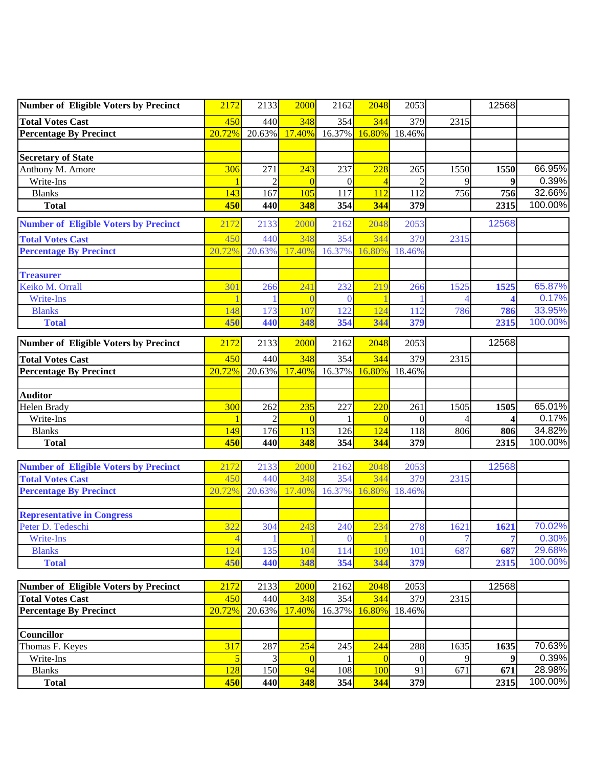| Number of Eligible Voters by Precinct        | 2172           | 2133           | 2000     | 2162             | 2048          | 2053                        |      | 12568 |         |
|----------------------------------------------|----------------|----------------|----------|------------------|---------------|-----------------------------|------|-------|---------|
| <b>Total Votes Cast</b>                      | 450            | 440            | 348      | 354              | 344           | 379                         | 2315 |       |         |
| <b>Percentage By Precinct</b>                | 20.72%         | 20.63%         | 17.40%   |                  | 16.37% 16.80% | 18.46%                      |      |       |         |
|                                              |                |                |          |                  |               |                             |      |       |         |
| <b>Secretary of State</b>                    |                |                |          |                  |               |                             |      |       |         |
| Anthony M. Amore                             | 306            | 271            | 243      | 237              | 228           | 265                         | 1550 | 1550  | 66.95%  |
| Write-Ins                                    |                | $\mathfrak{D}$ | $\Omega$ | $\boldsymbol{0}$ |               | $\mathcal{D}_{\mathcal{A}}$ | Q    | 9     | 0.39%   |
| <b>Blanks</b>                                | 143            | 167            | 105      | 117              | 112           | 112                         | 756  | 756   | 32.66%  |
| <b>Total</b>                                 | 450            | 440            | 348      | 354              | 344           | 379                         |      | 2315  | 100.00% |
| <b>Number of Eligible Voters by Precinct</b> | 2172           | 2133           | 2000     | 2162             | 2048          | 2053                        |      | 12568 |         |
| <b>Total Votes Cast</b>                      | 450            | 440            | 348      | 354              | 344           | 379                         | 2315 |       |         |
| <b>Percentage By Precinct</b>                | 20.72%         | 20.63%         | 17.40%   | 16.37%           | 16.80%        | 18.46%                      |      |       |         |
|                                              |                |                |          |                  |               |                             |      |       |         |
| <b>Treasurer</b>                             |                |                |          |                  |               |                             |      |       |         |
| Keiko M. Orrall                              | 301            | 266            | 241      | 232              | 219           | 266                         | 1525 | 1525  | 65.87%  |
| Write-Ins                                    |                |                |          | $\Omega$         |               |                             |      |       | 0.17%   |
| <b>Blanks</b>                                | 148            | 173            | 107      | 122              | 124           | 112                         | 786  | 786   | 33.95%  |
| <b>Total</b>                                 | 450            | 440            | 348      | 354              | 344           | 379                         |      | 2315  | 100.00% |
| Number of Eligible Voters by Precinct        | 2172           | 2133           | 2000     | 2162             | 2048          | 2053                        |      | 12568 |         |
|                                              |                |                |          |                  |               |                             |      |       |         |
| <b>Total Votes Cast</b>                      | 450            | 440            | 348      | 354              | 344           | 379                         | 2315 |       |         |
| <b>Percentage By Precinct</b>                | 20.72%         | 20.63%         | 17.40%   | 16.37%           | 16.80%        | 18.46%                      |      |       |         |
|                                              |                |                |          |                  |               |                             |      |       |         |
| <b>Auditor</b><br>Helen Brady                | 300            | 262            | 235      | 227              | 220           | 261                         | 1505 | 1505  | 65.01%  |
| Write-Ins                                    |                | $\mathfrak{D}$ | $\Omega$ |                  | $\Omega$      | $\Omega$                    |      |       | 0.17%   |
| <b>Blanks</b>                                | 149            | 176            | 113      | 126              | 124           | 118                         | 806  | 806   | 34.82%  |
| <b>Total</b>                                 | 450            | 440            | 348      | 354              | 344           | 379                         |      | 2315  | 100.00% |
|                                              |                |                |          |                  |               |                             |      |       |         |
| <b>Number of Eligible Voters by Precinct</b> | 2172           | 2133           | 2000     | 2162             | 2048          | 2053                        |      | 12568 |         |
| <b>Total Votes Cast</b>                      | 450            | 440            | 348      | 354              | 344           | 379                         | 2315 |       |         |
| <b>Percentage By Precinct</b>                | 20.72%         | 20.63%         | 7.40%    | 16.37%           | 6.80%         | 18.46%                      |      |       |         |
|                                              |                |                |          |                  |               |                             |      |       |         |
| <b>Representative in Congress</b>            |                |                |          |                  |               |                             |      |       |         |
| Peter D. Tedeschi                            | 322            | 304            | 243      | 240              | 234           | 278                         | 1621 | 1621  | 70.02%  |
| Write-Ins                                    | $\overline{4}$ |                |          | 0                |               | $\mathbf{0}$                |      |       | 0.30%   |
| <b>Blanks</b>                                | 124            | 135            | 104      | 114              | 109           | 101                         | 687  | 687   | 29.68%  |
| <b>Total</b>                                 | 450            | 440            | 348      | 354              | 344           | 379                         |      | 2315  | 100.00% |
|                                              |                |                |          |                  |               |                             |      |       |         |
| Number of Eligible Voters by Precinct        | 2172           | 2133           | 2000     | 2162             | 2048          | 2053                        |      | 12568 |         |
| <b>Total Votes Cast</b>                      | 450<br>20.72%  | 440            | 348      | 354              | 344           | 379                         | 2315 |       |         |
| <b>Percentage By Precinct</b>                |                | 20.63%         | 17.40%   | 16.37%           | 16.80%        | 18.46%                      |      |       |         |
| <b>Councillor</b>                            |                |                |          |                  |               |                             |      |       |         |
| Thomas F. Keyes                              | 317            | 287            | 254      | 245              | 244           | 288                         | 1635 | 1635  | 70.63%  |
| Write-Ins                                    |                | 3              | $\Omega$ |                  | $\Omega$      | $\overline{0}$              | 9    | 9     | 0.39%   |
| <b>Blanks</b>                                | 128            | 150            | 94       | 108              | 100           | 91                          | 671  | 671   | 28.98%  |
| <b>Total</b>                                 | 450            | 440            | 348      | 354              | 344           | 379                         |      | 2315  | 100.00% |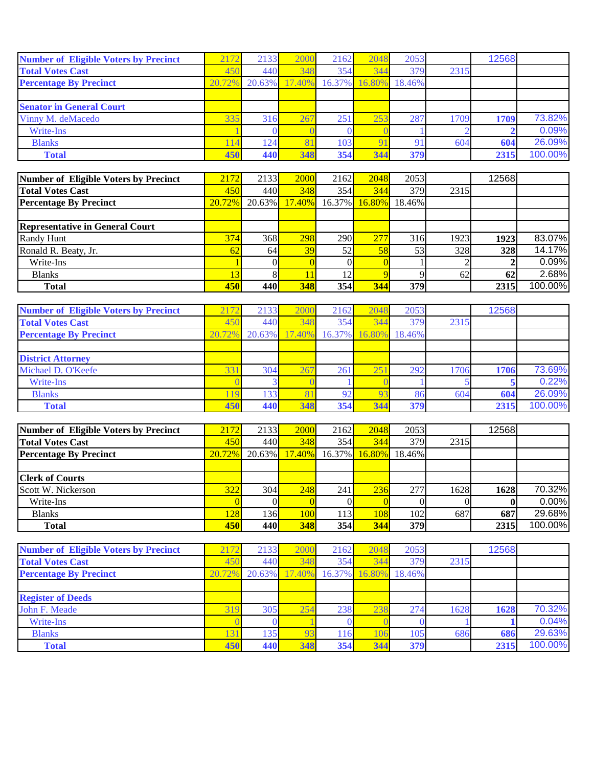| <b>Number of Eligible Voters by Precinct</b> | 2172   | 2133   | 2000   | 2162          | 2048 | 2053         |      | 12568 |         |
|----------------------------------------------|--------|--------|--------|---------------|------|--------------|------|-------|---------|
| <b>Total Votes Cast</b>                      | 450    | 440    | 348    | 354           | 344  | 379          | 2315 |       |         |
| <b>Percentage By Precinct</b>                | 20.72% | 20.63% | 17.40% | 16.37% 16.80% |      | 18.46%       |      |       |         |
|                                              |        |        |        |               |      |              |      |       |         |
| <b>Senator in General Court</b>              |        |        |        |               |      |              |      |       |         |
| Vinny M. deMacedo                            | 335    | 316    | 267    | 251           | 253  | 287          | 1709 | 1709  | 73.82%  |
| Write-Ins                                    |        |        |        |               |      |              |      |       | 0.09%   |
| <b>Blanks</b>                                | 114    | 124.   |        | 103           |      | $\mathbf{Q}$ | 604  | 604   | 26.09%  |
| <b>Total</b>                                 | 450    | 440    | 348    | 354           | 344  | 379          |      | 2315  | 100.00% |

| Number of Eligible Voters by Precinct  | 2172   | 2133 <sup> </sup> | 2000          | 2162 | 2048 | 2053                 |      | 12568 |         |
|----------------------------------------|--------|-------------------|---------------|------|------|----------------------|------|-------|---------|
| <b>Total Votes Cast</b>                | 450    | 440               | 348           | 354  | 344  | 379                  | 2315 |       |         |
| <b>Percentage By Precinct</b>          | 20.72% |                   | 20.63% 17.40% |      |      | 16.37% 16.80% 18.46% |      |       |         |
|                                        |        |                   |               |      |      |                      |      |       |         |
| <b>Representative in General Court</b> |        |                   |               |      |      |                      |      |       |         |
| Randy Hunt                             | 374    | 368               | 298           | 290  | 277  | 316                  | 1923 | 1923  | 83.07%  |
| Ronald R. Beaty, Jr.                   | 62     | 64                | 39            | 52   | 58   | 53                   | 328  | 328   | 14.17%  |
| Write-Ins                              |        |                   |               |      |      |                      |      |       | 0.09%   |
| <b>Blanks</b>                          |        |                   |               | 12   |      |                      | 62   | 62    | 2.68%   |
| <b>Total</b>                           | 450    | 440               | 348           | 354  | 344  | 379                  |      | 2315  | 100.00% |

| <b>Number of Eligible Voters by Precinct</b> | 2172   | 2133      | 2000   | 2162          | 2048 | 2053   |      | 12568 |         |
|----------------------------------------------|--------|-----------|--------|---------------|------|--------|------|-------|---------|
| <b>Total Votes Cast</b>                      | 45(    | 440       | 348    | 354           | 344  | 379    | 2315 |       |         |
| <b>Percentage By Precinct</b>                | 20.72% | $20.63\%$ | 17.40% | 16.37% 16.80% |      | 18.46% |      |       |         |
|                                              |        |           |        |               |      |        |      |       |         |
| <b>District Attorney</b>                     |        |           |        |               |      |        |      |       |         |
| Michael D. O'Keefe                           | 331    | 304       | 267    | 261           | 251  | 292    | 1706 | 1706  | 73.69%  |
| Write-Ins                                    |        |           |        |               |      |        |      |       | 0.22%   |
| <b>Blanks</b>                                |        | 133       |        | 92            |      | 86     | 604  | 604   | 26.09%  |
| <b>Total</b>                                 | 450    | 440       | 348    | 354           | 344  | 379    |      | 2315  | 100.00% |

| <b>Number of Eligible Voters by Precinct</b> | 2172   | 2133 <sup> </sup> | 2000          | 2162                 | 2048 | 2053 |      | 12568 |         |
|----------------------------------------------|--------|-------------------|---------------|----------------------|------|------|------|-------|---------|
| Total Votes Cast                             | 450    | 440               | 348           | 354                  | 344  | 379  | 2315 |       |         |
| <b>Percentage By Precinct</b>                | 20.72% |                   | 20.63% 17.40% | 16.37% 16.80% 18.46% |      |      |      |       |         |
|                                              |        |                   |               |                      |      |      |      |       |         |
| <b>Clerk of Courts</b>                       |        |                   |               |                      |      |      |      |       |         |
| Scott W. Nickerson                           | 322    | 304               | 248           | 241                  | 236  | 277  | 1628 | 1628  | 70.32%  |
| Write-Ins                                    |        |                   |               |                      |      |      |      |       | 0.00%   |
| <b>Blanks</b>                                | 128    | 136               | <b>100</b>    | 113                  | 108  | 102  | 687  | 687   | 29.68%  |
| <b>Total</b>                                 | 450    | 440               | 348           | 354                  | 344  | 379  |      | 2315  | 100.00% |

| <b>Number of Eligible Voters by Precinct</b> | 2172   | 2133   | 2000                    | 2162          | 2048 | 2053   |      | 12568 |         |
|----------------------------------------------|--------|--------|-------------------------|---------------|------|--------|------|-------|---------|
| <b>Total Votes Cast</b>                      | 450    | 440    | 348                     | 354           | 344  | 379    | 2315 |       |         |
| <b>Percentage By Precinct</b>                | 20.72% | 20.63% | 17.40%                  | 16.37% 16.80% |      | 18.46% |      |       |         |
|                                              |        |        |                         |               |      |        |      |       |         |
| <b>Register of Deeds</b>                     |        |        |                         |               |      |        |      |       |         |
| John F. Meade                                | 319    | 305    | 254                     | 238           | 238  | 274    | 1628 | 1628  | 70.32%  |
| Write-Ins                                    |        |        |                         |               |      |        |      |       | 0.04%   |
| <b>Blanks</b>                                | 13     | 135    | $\overline{\mathbf{Q}}$ | 16'           |      | 105    | 686  | 686   | 29.63%  |
| <b>Total</b>                                 | 450    | 440    | 348                     | 354           | 344  | 379    |      | 2315  | 100.00% |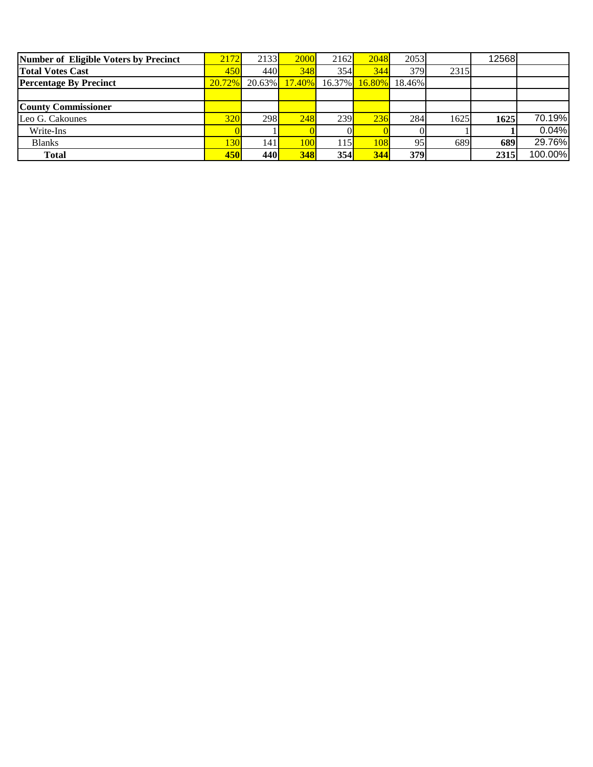| Number of Eligible Voters by Precinct | 2172   | 2133 <sup> </sup> | 2000      | 2162 | 2048 | 2053                 |      | 12568 |         |
|---------------------------------------|--------|-------------------|-----------|------|------|----------------------|------|-------|---------|
| <b>Total Votes Cast</b>               | 450    | 440I              | 348       | 354  | 344  | 379                  | 2315 |       |         |
| <b>Percentage By Precinct</b>         | 20.72% | $20.63\%$         | $17.40\%$ |      |      | 16.37% 16.80% 18.46% |      |       |         |
|                                       |        |                   |           |      |      |                      |      |       |         |
| <b>County Commissioner</b>            |        |                   |           |      |      |                      |      |       |         |
| Leo G. Cakounes                       | 320    | 298               | 248       | 239  | 236  | 284                  | 1625 | 1625  | 70.19%  |
| Write-Ins                             |        |                   |           |      |      |                      |      |       | 0.04%   |
| <b>Blanks</b>                         | 30     | 141               | 1001      | 115  | 108  | 95                   | 689  | 689   | 29.76%  |
| <b>Total</b>                          | 450    | 440               | 348       | 354  | 344  | 379                  |      | 2315  | 100.00% |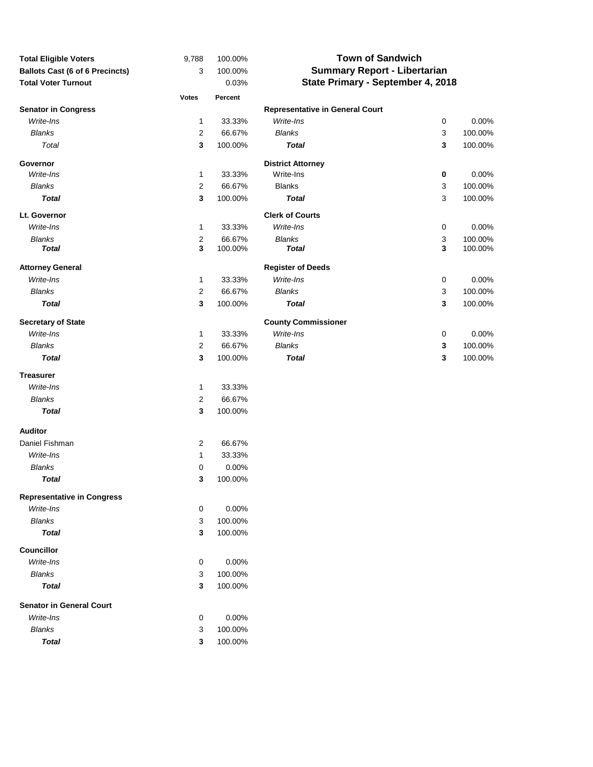| <b>Total Eligible Voters</b>           | 9,788            | 100.00% | <b>Town of Sandwich</b>                |           |         |  |  |
|----------------------------------------|------------------|---------|----------------------------------------|-----------|---------|--|--|
| <b>Ballots Cast (6 of 6 Precincts)</b> | 3                | 100.00% | <b>Summary Report - Libertarian</b>    |           |         |  |  |
| <b>Total Voter Turnout</b>             |                  | 0.03%   | State Primary - September 4, 2018      |           |         |  |  |
|                                        | <b>Votes</b>     | Percent |                                        |           |         |  |  |
| <b>Senator in Congress</b>             |                  |         | <b>Representative in General Court</b> |           |         |  |  |
| Write-Ins                              | 1                | 33.33%  | Write-Ins                              | 0         | 0.00%   |  |  |
| <b>Blanks</b>                          | $\sqrt{2}$       | 66.67%  | <b>Blanks</b>                          | 3         | 100.00% |  |  |
| Total                                  | 3                | 100.00% | <b>Total</b>                           | 3         | 100.00% |  |  |
| Governor                               |                  |         | <b>District Attorney</b>               |           |         |  |  |
| Write-Ins                              | 1                | 33.33%  | Write-Ins                              | $\pmb{0}$ | 0.00%   |  |  |
| <b>Blanks</b>                          | $\boldsymbol{2}$ | 66.67%  | <b>Blanks</b>                          | 3         | 100.00% |  |  |
| <b>Total</b>                           | 3                | 100.00% | <b>Total</b>                           | 3         | 100.00% |  |  |
| Lt. Governor                           |                  |         | <b>Clerk of Courts</b>                 |           |         |  |  |
| Write-Ins                              | 1                | 33.33%  | Write-Ins                              | $\pmb{0}$ | 0.00%   |  |  |
| <b>Blanks</b>                          | $\sqrt{2}$       | 66.67%  | <b>Blanks</b>                          | 3         | 100.00% |  |  |
| <b>Total</b>                           | 3                | 100.00% | <b>Total</b>                           | 3         | 100.00% |  |  |
| <b>Attorney General</b>                |                  |         | <b>Register of Deeds</b>               |           |         |  |  |
| Write-Ins                              | 1                | 33.33%  | Write-Ins                              | $\pmb{0}$ | 0.00%   |  |  |
| <b>Blanks</b>                          | $\overline{c}$   | 66.67%  | <b>Blanks</b>                          | 3         | 100.00% |  |  |
| <b>Total</b>                           | 3                | 100.00% | <b>Total</b>                           | 3         | 100.00% |  |  |
| <b>Secretary of State</b>              |                  |         | <b>County Commissioner</b>             |           |         |  |  |
| Write-Ins                              | 1                | 33.33%  | Write-Ins                              | 0         | 0.00%   |  |  |
| <b>Blanks</b>                          | $\overline{c}$   | 66.67%  | <b>Blanks</b>                          | 3         | 100.00% |  |  |
| <b>Total</b>                           | 3                | 100.00% | <b>Total</b>                           | 3         | 100.00% |  |  |
| <b>Treasurer</b>                       |                  |         |                                        |           |         |  |  |
| Write-Ins                              | 1                | 33.33%  |                                        |           |         |  |  |
| <b>Blanks</b>                          | $\overline{2}$   | 66.67%  |                                        |           |         |  |  |
| <b>Total</b>                           | 3                | 100.00% |                                        |           |         |  |  |
| <b>Auditor</b>                         |                  |         |                                        |           |         |  |  |
| Daniel Fishman                         | $\overline{2}$   | 66.67%  |                                        |           |         |  |  |
| Write-Ins                              | 1                | 33.33%  |                                        |           |         |  |  |
| <b>Blanks</b>                          | 0                | 0.00%   |                                        |           |         |  |  |
| <b>Total</b>                           | 3                | 100.00% |                                        |           |         |  |  |
| <b>Representative in Congress</b>      |                  |         |                                        |           |         |  |  |
| Write-Ins                              | 0                | 0.00%   |                                        |           |         |  |  |
| <b>Blanks</b>                          | $\sqrt{3}$       | 100.00% |                                        |           |         |  |  |
| <b>Total</b>                           | 3                | 100.00% |                                        |           |         |  |  |
| <b>Councillor</b>                      |                  |         |                                        |           |         |  |  |
| Write-Ins                              | 0                | 0.00%   |                                        |           |         |  |  |
| <b>Blanks</b>                          | $\sqrt{3}$       | 100.00% |                                        |           |         |  |  |
| <b>Total</b>                           | 3                | 100.00% |                                        |           |         |  |  |
| <b>Senator in General Court</b>        |                  |         |                                        |           |         |  |  |
| Write-Ins                              | 0                | 0.00%   |                                        |           |         |  |  |
| <b>Blanks</b>                          | 3                | 100.00% |                                        |           |         |  |  |
| <b>Total</b>                           | 3                | 100.00% |                                        |           |         |  |  |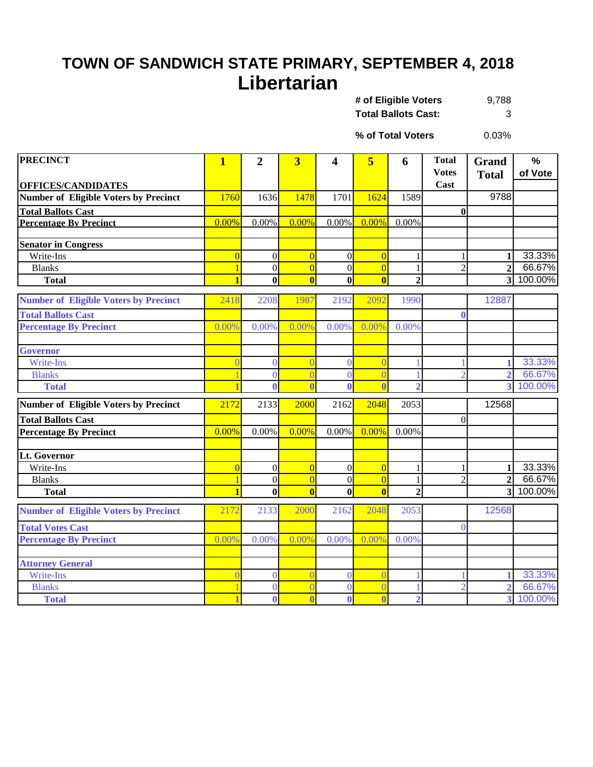## **TOWN OF SANDWICH STATE PRIMARY, SEPTEMBER 4, 2018 Libertarian**

9,788 **Total Ballots Cast:** 3 **# of Eligible Voters** 

0.03% **% of Total Voters**

| <b>PRECINCT</b>                              | $\mathbf{1}$   | $\overline{2}$   | $\overline{\mathbf{3}}$ | 4              | 5                                         | 6                   | <b>Total</b><br><b>Votes</b> | <b>Grand</b>                     | $\%$<br>of Vote   |
|----------------------------------------------|----------------|------------------|-------------------------|----------------|-------------------------------------------|---------------------|------------------------------|----------------------------------|-------------------|
| <b>OFFICES/CANDIDATES</b>                    |                |                  |                         |                |                                           |                     | Cast                         | <b>Total</b>                     |                   |
| <b>Number of Eligible Voters by Precinct</b> | 1760           | 1636             | 1478                    | 1701           | 1624                                      | 1589                |                              | 9788                             |                   |
| <b>Total Ballots Cast</b>                    |                |                  |                         |                |                                           |                     | $\bf{0}$                     |                                  |                   |
| <b>Percentage By Precinct</b>                | 0.00%          | 0.00%            | 0.00%                   | 0.00%          | 0.00%                                     | 0.00%               |                              |                                  |                   |
|                                              |                |                  |                         |                |                                           |                     |                              |                                  |                   |
| <b>Senator in Congress</b>                   |                |                  |                         |                |                                           |                     |                              |                                  |                   |
| Write-Ins                                    | $\overline{0}$ | $\overline{0}$   | $\overline{0}$          | $\overline{0}$ | $\overline{0}$                            |                     | 1                            | 1                                | 33.33%            |
| <b>Blanks</b>                                | $\blacksquare$ | $\overline{0}$   | $\Omega$                | $\Omega$       | $\overline{0}$<br>$\overline{\mathbf{0}}$ | 1<br>$\overline{2}$ | $\overline{2}$               | $\overline{2}$<br>3 <sup>1</sup> | 66.67%<br>100.00% |
| <b>Total</b>                                 |                | $\bf{0}$         | $\bf{0}$                | $\bf{0}$       |                                           |                     |                              |                                  |                   |
| <b>Number of Eligible Voters by Precinct</b> | 2418           | 2208             | 1987                    | 2192           | 2092                                      | 1990                |                              | 12887                            |                   |
| <b>Total Ballots Cast</b>                    |                |                  |                         |                |                                           |                     | $\mathbf{0}$                 |                                  |                   |
| <b>Percentage By Precinct</b>                | 0.00%          | 0.00%            | 0.00%                   | 0.00%          | 0.00%                                     | 0.00%               |                              |                                  |                   |
|                                              |                |                  |                         |                |                                           |                     |                              |                                  |                   |
| <b>Governor</b>                              |                |                  |                         |                |                                           |                     |                              |                                  |                   |
| Write-Ins                                    | $\overline{0}$ | $\overline{0}$   | $\overline{0}$          | $\overline{0}$ | $\overline{0}$                            |                     |                              | 1                                | 33.33%            |
| <b>Blanks</b>                                |                | $\overline{0}$   | $\overline{0}$          | $\theta$       | $\overline{0}$                            |                     | $\overline{2}$               | $\overline{2}$                   | 66.67%            |
| <b>Total</b>                                 |                | $\mathbf{0}$     | $\overline{\mathbf{0}}$ | $\mathbf{0}$   | $\overline{\mathbf{0}}$                   | $\overline{2}$      |                              | $\overline{3}$                   | 100.00%           |
| <b>Number of Eligible Voters by Precinct</b> | 2172           | 2133             | 2000                    | 2162           | 2048                                      | 2053                |                              | 12568                            |                   |
| <b>Total Ballots Cast</b>                    |                |                  |                         |                |                                           |                     | $\boldsymbol{0}$             |                                  |                   |
| <b>Percentage By Precinct</b>                | 0.00%          | 0.00%            | 0.00%                   | 0.00%          | 0.00%                                     | 0.00%               |                              |                                  |                   |
|                                              |                |                  |                         |                |                                           |                     |                              |                                  |                   |
| Lt. Governor                                 |                |                  |                         |                |                                           |                     |                              |                                  |                   |
| Write-Ins                                    | $\overline{0}$ | $\boldsymbol{0}$ | $\overline{0}$          | $\overline{0}$ | $\overline{0}$                            |                     | 1                            | $\mathbf{1}$                     | 33.33%            |
| <b>Blanks</b>                                | $\mathbf{1}$   | $\overline{0}$   | $\overline{0}$          | $\overline{0}$ | $\overline{0}$                            | 1                   | $\overline{2}$               | $\overline{2}$                   | 66.67%            |
| <b>Total</b>                                 | $\blacksquare$ | $\mathbf{0}$     | $\overline{0}$          | $\mathbf{0}$   | $\overline{\mathbf{0}}$                   | $\overline{2}$      |                              | $\overline{3}$                   | 100.00%           |
| <b>Number of Eligible Voters by Precinct</b> | 2172           | 2133             | 2000                    | 2162           | 2048                                      | 2053                |                              | 12568                            |                   |
| <b>Total Votes Cast</b>                      |                |                  |                         |                |                                           |                     | $\theta$                     |                                  |                   |
| <b>Percentage By Precinct</b>                | 0.00%          | 0.00%            | 0.00%                   | 0.00%          | 0.00%                                     | 0.00%               |                              |                                  |                   |
|                                              |                |                  |                         |                |                                           |                     |                              |                                  |                   |
| <b>Attorney General</b>                      |                |                  |                         |                |                                           |                     |                              |                                  |                   |
| Write-Ins                                    | $\Omega$       | $\overline{0}$   | $\Omega$                | $\Omega$       | $\Omega$                                  |                     |                              | 1                                | 33.33%            |
| <b>Blanks</b>                                |                | $\overline{0}$   | $\Omega$                | $\Omega$       | $\overline{0}$                            |                     | $\overline{2}$               | $\overline{2}$                   | 66.67%            |
| <b>Total</b>                                 |                | $\mathbf{0}$     | $\overline{\mathbf{0}}$ | $\mathbf{0}$   | $\overline{\mathbf{0}}$                   | $\overline{2}$      |                              | $\overline{\mathbf{3}}$          | 100.00%           |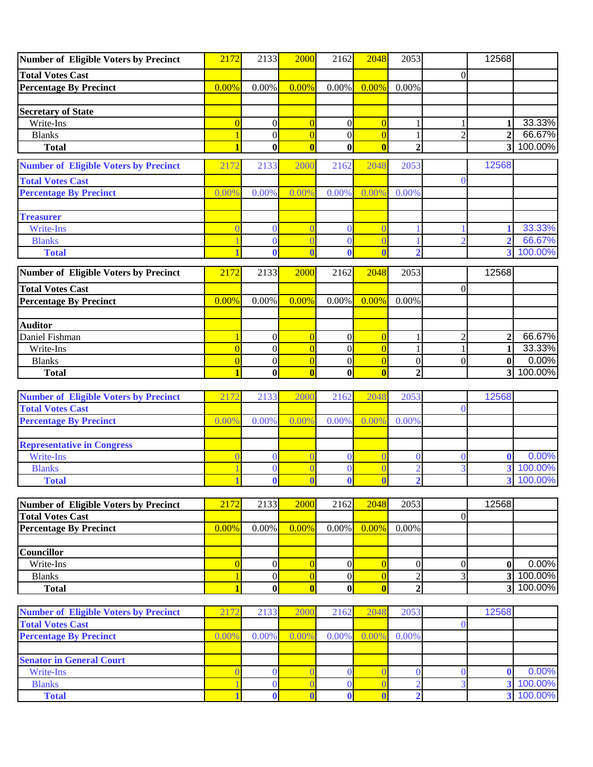| Number of Eligible Voters by Precinct          | 2172                           | 2133                         | 2000                           | 2162                       | 2048                                      | 2053                             |                  | 12568                        |                    |
|------------------------------------------------|--------------------------------|------------------------------|--------------------------------|----------------------------|-------------------------------------------|----------------------------------|------------------|------------------------------|--------------------|
| <b>Total Votes Cast</b>                        |                                |                              |                                |                            |                                           |                                  | $\theta$         |                              |                    |
| <b>Percentage By Precinct</b>                  | 0.00%                          | 0.00%                        | 0.00%                          | 0.00%                      | 0.00%                                     | 0.00%                            |                  |                              |                    |
|                                                |                                |                              |                                |                            |                                           |                                  |                  |                              |                    |
| <b>Secretary of State</b>                      |                                |                              |                                |                            |                                           |                                  |                  |                              |                    |
| Write-Ins                                      | $\overline{0}$                 | $\boldsymbol{0}$             | $\overline{0}$                 | $\overline{0}$             | $\overline{0}$                            |                                  | 1                |                              | 33.33%             |
| <b>Blanks</b>                                  | 1                              | $\boldsymbol{0}$             | $\overline{0}$                 | $\overline{0}$             | $\overline{0}$                            | 1                                | $\overline{2}$   | $\overline{2}$               | 66.67%             |
| <b>Total</b>                                   | $\blacksquare$                 | $\bf{0}$                     | $\overline{\mathbf{0}}$        | $\bf{0}$                   | $\overline{\mathbf{0}}$                   | $\overline{2}$                   |                  | 3                            | 100.00%            |
| <b>Number of Eligible Voters by Precinct</b>   | 2172                           | 2133                         | 2000                           | 2162                       | 2048                                      | 2053                             |                  | 12568                        |                    |
| <b>Total Votes Cast</b>                        |                                |                              |                                |                            |                                           |                                  | $\theta$         |                              |                    |
| <b>Percentage By Precinct</b>                  | 0.00%                          | 0.00%                        | 0.00%                          | 0.00%                      | 0.00%                                     | 0.00%                            |                  |                              |                    |
|                                                |                                |                              |                                |                            |                                           |                                  |                  |                              |                    |
| <b>Treasurer</b>                               |                                |                              |                                |                            |                                           |                                  |                  |                              |                    |
| Write-Ins                                      | $\Omega$                       | $\overline{0}$               |                                | $\Omega$                   | $\overline{0}$                            |                                  |                  |                              | 33.33%             |
| <b>Blanks</b>                                  |                                | $\mathbf{0}$<br>$\bf{0}$     | $\sqrt{ }$<br>$\overline{1}$   | $\mathbf{0}$               | $\overline{0}$<br>$\overline{0}$          | $\overline{\mathcal{L}}$         | $\overline{2}$   | $\overline{\mathbf{2}}$<br>3 | 66.67%<br>100.00%  |
| <b>Total</b>                                   |                                |                              |                                |                            |                                           |                                  |                  |                              |                    |
| Number of Eligible Voters by Precinct          | 2172                           | 2133                         | 2000                           | 2162                       | 2048                                      | 2053                             |                  | 12568                        |                    |
| <b>Total Votes Cast</b>                        |                                |                              |                                |                            |                                           |                                  | $\overline{0}$   |                              |                    |
| <b>Percentage By Precinct</b>                  | 0.00%                          | 0.00%                        | 0.00%                          | 0.00%                      | 0.00%                                     | 0.00%                            |                  |                              |                    |
|                                                |                                |                              |                                |                            |                                           |                                  |                  |                              |                    |
| <b>Auditor</b>                                 |                                |                              |                                |                            |                                           |                                  |                  |                              |                    |
| Daniel Fishman                                 |                                | $\boldsymbol{0}$             | $\overline{0}$                 | $\boldsymbol{0}$           | $\overline{0}$                            |                                  | $\overline{c}$   | $\overline{2}$               | 66.67%             |
| Write-Ins                                      | $\overline{0}$                 | $\boldsymbol{0}$             | $\overline{0}$                 | $\overline{0}$             | $\overline{0}$                            | 1                                | 1                | 1                            | 33.33%             |
| <b>Blanks</b>                                  | $\overline{0}$                 | $\boldsymbol{0}$             | $\overline{0}$                 | $\overline{0}$             | $\overline{0}$                            | $\boldsymbol{0}$                 | $\boldsymbol{0}$ | $\bf{0}$                     | 0.00%              |
| <b>Total</b>                                   | 1                              | $\bf{0}$                     | $\mathbf{0}$                   | $\mathbf{0}$               | $\bf{0}$                                  | $\overline{2}$                   |                  | 3 <sup>l</sup>               | 100.00%            |
|                                                |                                |                              |                                |                            |                                           |                                  |                  |                              |                    |
|                                                |                                |                              |                                |                            |                                           |                                  |                  |                              |                    |
| <b>Number of Eligible Voters by Precinct</b>   | 2172                           | 2133                         | 2000                           | 2162                       | 2048                                      | 2053                             |                  | 12568                        |                    |
| <b>Total Votes Cast</b>                        | 0.00%                          |                              |                                |                            |                                           |                                  | $\Omega$         |                              |                    |
| <b>Percentage By Precinct</b>                  |                                | 0.00%                        | 0.00%                          | 0.00%                      | 0.00%                                     | 0.00%                            |                  |                              |                    |
|                                                |                                |                              |                                |                            |                                           |                                  |                  |                              |                    |
| <b>Representative in Congress</b><br>Write-Ins | $\Omega$                       | $\mathbf{0}$                 |                                | $\Omega$                   | $\overline{0}$                            | $\Omega$                         | $\theta$         | 0                            | 0.00%              |
| <b>Blanks</b>                                  |                                | $\mathbf{0}$                 |                                | $\overline{0}$             | $\overline{0}$                            | $\overline{2}$                   | 3                | 3                            | 100.00%            |
| <b>Total</b>                                   |                                | $\bf{0}$                     | $\overline{\mathbf{0}}$        | $\bf{0}$                   | $\overline{\mathbf{0}}$                   | $\overline{2}$                   |                  | $\overline{\mathbf{3}}$      | 100.00%            |
|                                                |                                |                              |                                |                            |                                           |                                  |                  |                              |                    |
| Number of Eligible Voters by Precinct          | 2172                           | 2133                         | 2000                           | 2162                       | 2048                                      | 2053                             |                  | 12568                        |                    |
| <b>Total Votes Cast</b>                        |                                |                              |                                |                            |                                           |                                  | $\boldsymbol{0}$ |                              |                    |
| <b>Percentage By Precinct</b>                  | 0.00%                          | 0.00%                        | 0.00%                          | $0.00\%$                   | 0.00%                                     | 0.00%                            |                  |                              |                    |
|                                                |                                |                              |                                |                            |                                           |                                  |                  |                              |                    |
| <b>Councillor</b>                              |                                |                              |                                |                            |                                           |                                  |                  |                              |                    |
| Write-Ins                                      | $\overline{0}$<br>$\mathbf{1}$ | $\mathbf{0}$                 | $\overline{0}$                 | $\overline{0}$             | $\overline{0}$                            | $\boldsymbol{0}$                 | $\boldsymbol{0}$ | $\bf{0}$<br>3                | 0.00%<br>100.00%   |
| <b>Blanks</b><br><b>Total</b>                  | $\mathbf{1}$                   | $\boldsymbol{0}$<br>$\bf{0}$ | $\overline{0}$<br>$\mathbf{0}$ | $\overline{0}$<br>$\bf{0}$ | $\overline{0}$<br>$\overline{\mathbf{0}}$ | $\overline{2}$<br>$\overline{2}$ | 3                | 3                            | 100.00%            |
|                                                |                                |                              |                                |                            |                                           |                                  |                  |                              |                    |
| <b>Number of Eligible Voters by Precinct</b>   | 2172                           | 2133                         | 2000                           | 2162                       | 2048                                      | 2053                             |                  | 12568                        |                    |
| <b>Total Votes Cast</b>                        |                                |                              |                                |                            |                                           |                                  | $\theta$         |                              |                    |
| <b>Percentage By Precinct</b>                  | 0.00%                          | 0.00%                        | 0.00%                          | 0.00%                      | 0.00%                                     | 0.00%                            |                  |                              |                    |
|                                                |                                |                              |                                |                            |                                           |                                  |                  |                              |                    |
| <b>Senator in General Court</b>                |                                |                              |                                |                            |                                           |                                  |                  |                              |                    |
| Write-Ins                                      | $\overline{0}$                 | $\overline{0}$               | $\sqrt{ }$                     | $\bf{0}$                   | $\overline{0}$                            | $\bf{0}$                         | $\overline{0}$   | $\mathbf 0$                  | 0.00%              |
| <b>Blanks</b><br><b>Total</b>                  |                                | $\bf{0}$<br>$\bf{0}$         | $\epsilon$<br>$\overline{0}$   | $\bf{0}$<br>0              | $\overline{0}$<br>$\overline{\mathbf{0}}$ | $\overline{2}$<br>$\overline{2}$ | 3                | 3<br>$\overline{\mathbf{3}}$ | 100.00%<br>100.00% |